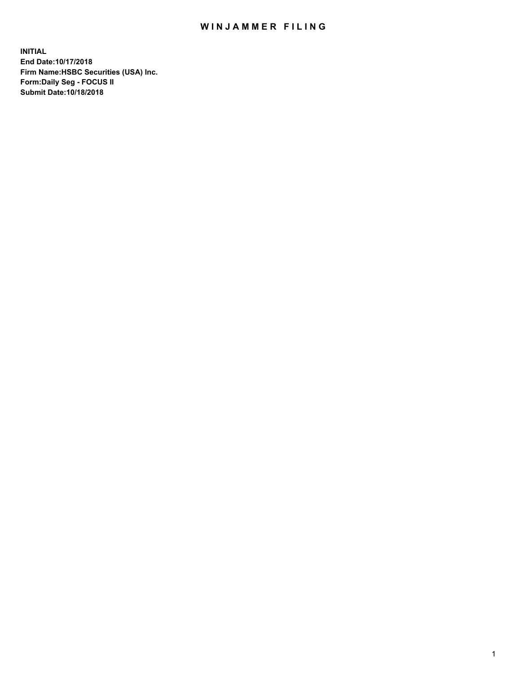## WIN JAMMER FILING

**INITIAL End Date:10/17/2018 Firm Name:HSBC Securities (USA) Inc. Form:Daily Seg - FOCUS II Submit Date:10/18/2018**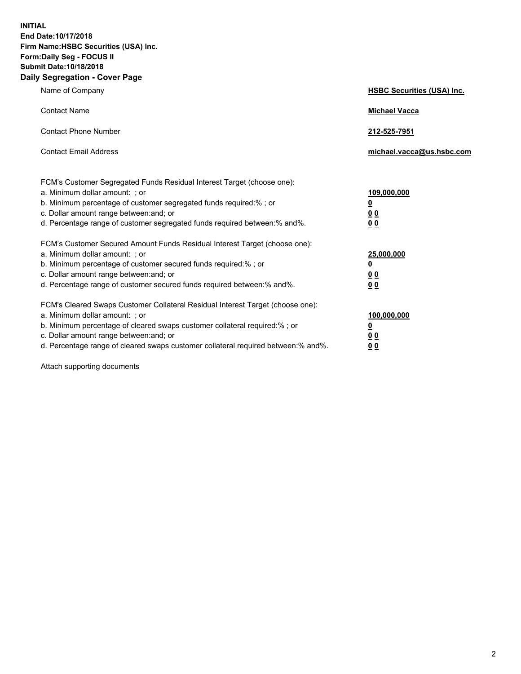**INITIAL End Date:10/17/2018 Firm Name:HSBC Securities (USA) Inc. Form:Daily Seg - FOCUS II Submit Date:10/18/2018 Daily Segregation - Cover Page**

| Name of Company                                                                                                                                                                                                                                                                                                                | <b>HSBC Securities (USA) Inc.</b>                                          |
|--------------------------------------------------------------------------------------------------------------------------------------------------------------------------------------------------------------------------------------------------------------------------------------------------------------------------------|----------------------------------------------------------------------------|
| <b>Contact Name</b>                                                                                                                                                                                                                                                                                                            | <b>Michael Vacca</b>                                                       |
| <b>Contact Phone Number</b>                                                                                                                                                                                                                                                                                                    | 212-525-7951                                                               |
| <b>Contact Email Address</b>                                                                                                                                                                                                                                                                                                   | michael.vacca@us.hsbc.com                                                  |
| FCM's Customer Segregated Funds Residual Interest Target (choose one):<br>a. Minimum dollar amount: : or<br>b. Minimum percentage of customer segregated funds required:% ; or<br>c. Dollar amount range between: and; or<br>d. Percentage range of customer segregated funds required between:% and%.                         | 109,000,000<br>$\overline{\mathbf{0}}$<br>0 <sub>0</sub><br>0 <sub>0</sub> |
| FCM's Customer Secured Amount Funds Residual Interest Target (choose one):<br>a. Minimum dollar amount: ; or<br>b. Minimum percentage of customer secured funds required:%; or<br>c. Dollar amount range between: and; or<br>d. Percentage range of customer secured funds required between:% and%.                            | 25,000,000<br><u>0</u><br>0 <sub>0</sub><br>00                             |
| FCM's Cleared Swaps Customer Collateral Residual Interest Target (choose one):<br>a. Minimum dollar amount: ; or<br>b. Minimum percentage of cleared swaps customer collateral required:% ; or<br>c. Dollar amount range between: and; or<br>d. Percentage range of cleared swaps customer collateral required between:% and%. | 100,000,000<br><u>0</u><br>00<br>0 <sub>0</sub>                            |

Attach supporting documents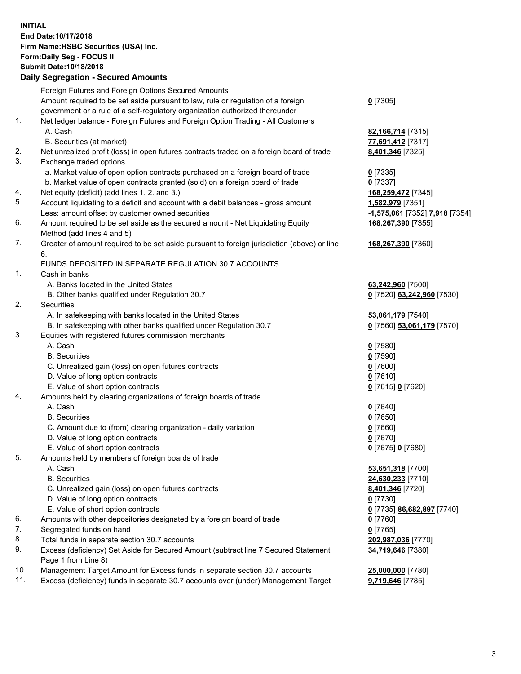**INITIAL End Date:10/17/2018 Firm Name:HSBC Securities (USA) Inc. Form:Daily Seg - FOCUS II Submit Date:10/18/2018 Daily Segregation - Secured Amounts**

Foreign Futures and Foreign Options Secured Amounts Amount required to be set aside pursuant to law, rule or regulation of a foreign government or a rule of a self-regulatory organization authorized thereunder **0** [7305] 1. Net ledger balance - Foreign Futures and Foreign Option Trading - All Customers A. Cash **82,166,714** [7315] B. Securities (at market) **77,691,412** [7317] 2. Net unrealized profit (loss) in open futures contracts traded on a foreign board of trade **8,401,346** [7325] 3. Exchange traded options a. Market value of open option contracts purchased on a foreign board of trade **0** [7335] b. Market value of open contracts granted (sold) on a foreign board of trade **0** [7337] 4. Net equity (deficit) (add lines 1. 2. and 3.) **168,259,472** [7345] 5. Account liquidating to a deficit and account with a debit balances - gross amount **1,582,979** [7351] Less: amount offset by customer owned securities **-1,575,061** [7352] **7,918** [7354] 6. Amount required to be set aside as the secured amount - Net Liquidating Equity Method (add lines 4 and 5) **168,267,390** [7355] 7. Greater of amount required to be set aside pursuant to foreign jurisdiction (above) or line 6. **168,267,390** [7360] FUNDS DEPOSITED IN SEPARATE REGULATION 30.7 ACCOUNTS 1. Cash in banks A. Banks located in the United States **63,242,960** [7500] B. Other banks qualified under Regulation 30.7 **0** [7520] **63,242,960** [7530] 2. Securities A. In safekeeping with banks located in the United States **53,061,179** [7540] B. In safekeeping with other banks qualified under Regulation 30.7 **0** [7560] **53,061,179** [7570] 3. Equities with registered futures commission merchants A. Cash **0** [7580] B. Securities **0** [7590] C. Unrealized gain (loss) on open futures contracts **0** [7600] D. Value of long option contracts **0** [7610] E. Value of short option contracts **0** [7615] **0** [7620] 4. Amounts held by clearing organizations of foreign boards of trade A. Cash **0** [7640] B. Securities **0** [7650] C. Amount due to (from) clearing organization - daily variation **0** [7660] D. Value of long option contracts **0** [7670] E. Value of short option contracts **0** [7675] **0** [7680] 5. Amounts held by members of foreign boards of trade A. Cash **53,651,318** [7700] B. Securities **24,630,233** [7710] C. Unrealized gain (loss) on open futures contracts **8,401,346** [7720] D. Value of long option contracts **0** [7730] E. Value of short option contracts **0** [7735] **86,682,897** [7740] 6. Amounts with other depositories designated by a foreign board of trade **0** [7760] 7. Segregated funds on hand **0** [7765] 8. Total funds in separate section 30.7 accounts **202,987,036** [7770] 9. Excess (deficiency) Set Aside for Secured Amount (subtract line 7 Secured Statement Page 1 from Line 8) **34,719,646** [7380] 10. Management Target Amount for Excess funds in separate section 30.7 accounts **25,000,000** [7780] 11. Excess (deficiency) funds in separate 30.7 accounts over (under) Management Target **9,719,646** [7785]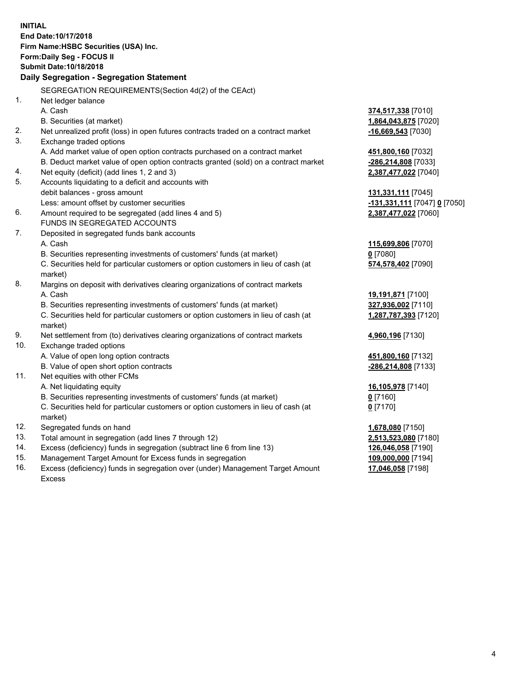| <b>INITIAL</b> |                                                                                                |                                            |
|----------------|------------------------------------------------------------------------------------------------|--------------------------------------------|
|                | End Date: 10/17/2018                                                                           |                                            |
|                | Firm Name: HSBC Securities (USA) Inc.                                                          |                                            |
|                | Form: Daily Seg - FOCUS II                                                                     |                                            |
|                | Submit Date: 10/18/2018                                                                        |                                            |
|                | Daily Segregation - Segregation Statement                                                      |                                            |
|                | SEGREGATION REQUIREMENTS(Section 4d(2) of the CEAct)                                           |                                            |
| 1.             | Net ledger balance                                                                             |                                            |
|                | A. Cash                                                                                        |                                            |
|                | B. Securities (at market)                                                                      | 374,517,338 [7010]<br>1,864,043,875 [7020] |
| 2.             |                                                                                                |                                            |
| 3.             | Net unrealized profit (loss) in open futures contracts traded on a contract market             | -16,669,543 [7030]                         |
|                | Exchange traded options                                                                        |                                            |
|                | A. Add market value of open option contracts purchased on a contract market                    | 451,800,160 [7032]                         |
|                | B. Deduct market value of open option contracts granted (sold) on a contract market            | -286,214,808 [7033]                        |
| 4.<br>5.       | Net equity (deficit) (add lines 1, 2 and 3)                                                    | 2,387,477,022 [7040]                       |
|                | Accounts liquidating to a deficit and accounts with                                            |                                            |
|                | debit balances - gross amount                                                                  | 131,331,111 [7045]                         |
| 6.             | Less: amount offset by customer securities                                                     | <u>-131,331,111</u> [7047] <u>0</u> [7050] |
|                | Amount required to be segregated (add lines 4 and 5)                                           | 2,387,477,022 [7060]                       |
|                | FUNDS IN SEGREGATED ACCOUNTS                                                                   |                                            |
| 7.             | Deposited in segregated funds bank accounts                                                    |                                            |
|                | A. Cash                                                                                        | 115,699,806 [7070]                         |
|                | B. Securities representing investments of customers' funds (at market)                         | $0$ [7080]                                 |
|                | C. Securities held for particular customers or option customers in lieu of cash (at            | 574,578,402 [7090]                         |
|                | market)                                                                                        |                                            |
| 8.             | Margins on deposit with derivatives clearing organizations of contract markets                 |                                            |
|                | A. Cash                                                                                        | 19,191,871 [7100]                          |
|                | B. Securities representing investments of customers' funds (at market)                         | 327,936,002 [7110]                         |
|                | C. Securities held for particular customers or option customers in lieu of cash (at            | 1,287,787,393 [7120]                       |
|                | market)                                                                                        |                                            |
| 9.<br>10.      | Net settlement from (to) derivatives clearing organizations of contract markets                | 4,960,196 [7130]                           |
|                | Exchange traded options                                                                        |                                            |
|                | A. Value of open long option contracts                                                         | 451,800,160 [7132]                         |
|                | B. Value of open short option contracts                                                        | -286,214,808 [7133]                        |
| 11.            | Net equities with other FCMs                                                                   |                                            |
|                | A. Net liquidating equity                                                                      | 16,105,978 [7140]                          |
|                | B. Securities representing investments of customers' funds (at market)                         | $0$ [7160]                                 |
|                | C. Securities held for particular customers or option customers in lieu of cash (at<br>market) | 0 <sup>[7170]</sup>                        |
| 12.            | Segregated funds on hand                                                                       | 1,678,080 [7150]                           |
| 13.            | Total amount in segregation (add lines 7 through 12)                                           | 2,513,523,080 [7180]                       |
| 14.            | Excess (deficiency) funds in segregation (subtract line 6 from line 13)                        | 126,046,058 [7190]                         |
| 15.            | Management Target Amount for Excess funds in segregation                                       | 109,000,000 [7194]                         |
| 16.            | Excess (deficiency) funds in segregation over (under) Management Target Amount                 | 17,046,058 [7198]                          |
|                |                                                                                                |                                            |

Excess